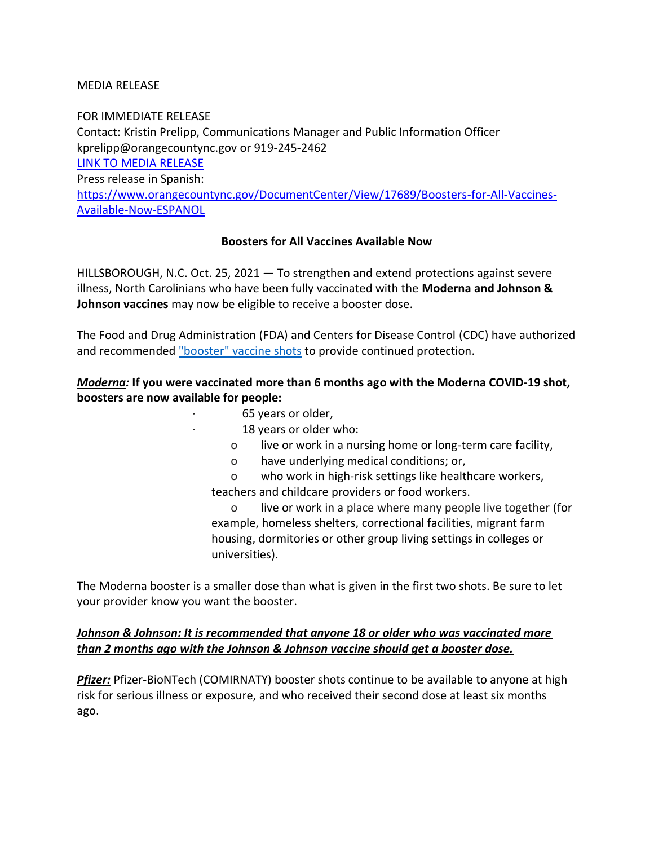### MEDIA RELEASE

FOR IMMEDIATE RELEASE Contact: Kristin Prelipp, Communications Manager and Public Information Officer kprelipp@orangecountync.gov or 919-245-2462 [LINK TO MEDIA RELEASE](https://www.orangecountync.gov/DocumentCenter/View/17688/Boosters-for-All-Vaccines-Available-Now-FINAL) Press release in Spanish: [https://www.orangecountync.gov/DocumentCenter/View/17689/Boosters-for-All-Vaccines-](https://www.orangecountync.gov/DocumentCenter/View/17689/Boosters-for-All-Vaccines-Available-Now-ESPANOL)[Available-Now-ESPANOL](https://www.orangecountync.gov/DocumentCenter/View/17689/Boosters-for-All-Vaccines-Available-Now-ESPANOL)

### **Boosters for All Vaccines Available Now**

HILLSBOROUGH, N.C. Oct. 25, 2021 ― To strengthen and extend protections against severe illness, North Carolinians who have been fully vaccinated with the **Moderna and Johnson & Johnson vaccines** may now be eligible to receive a booster dose.

The Food and Drug Administration (FDA) and Centers for Disease Control (CDC) have authorized and recommended ["booster" vaccine shots](https://urldefense.proofpoint.com/v2/url?u=https-3A__www.cdc.gov_media_releases_2021_p1021-2Dcovid-2Dbooster.html&d=DwMGaQ&c=JRU6Crajf79kKcplUJFHFfpcQ9GkS9xWLut8YRTooJY&r=T2PYX9SKE45hWzZjvyxUhFn-2r1MZan-8ELp4qTFGYQ&m=ZpL3PmtcYYJvnP-l3b1yCk9IZFt0KKkkTpaW9HNDTKGVGwdfjHqt5x-juIbMeQlY&s=bn3Gqusamw75Md7JJ41bl9rexh944xglfsMIeuuCvuo&e=) to provide continued protection.  

# *Moderna:* **If you were vaccinated more than 6 months ago with the Moderna COVID-19 shot, boosters are now available for people:**

- · 65 years or older,
- 18 years or older who:
- o live or work in a nursing home or long-term care facility,
- o have underlying medical conditions; or,
- o who work in high-risk settings like healthcare workers, teachers and childcare providers or food workers.

o live or work in a place where many people live together (for example, homeless shelters, correctional facilities, migrant farm housing, dormitories or other group living settings in colleges or universities).  

The Moderna booster is a smaller dose than what is given in the first two shots. Be sure to let your provider know you want the booster.

# *Johnson & Johnson: It is recommended that anyone 18 or older who was vaccinated more than 2 months ago with the Johnson & Johnson vaccine should get a booster dose.*

*Pfizer:* Pfizer-BioNTech (COMIRNATY) booster shots continue to be available to anyone at high risk for serious illness or exposure, and who received their second dose at least six months ago.